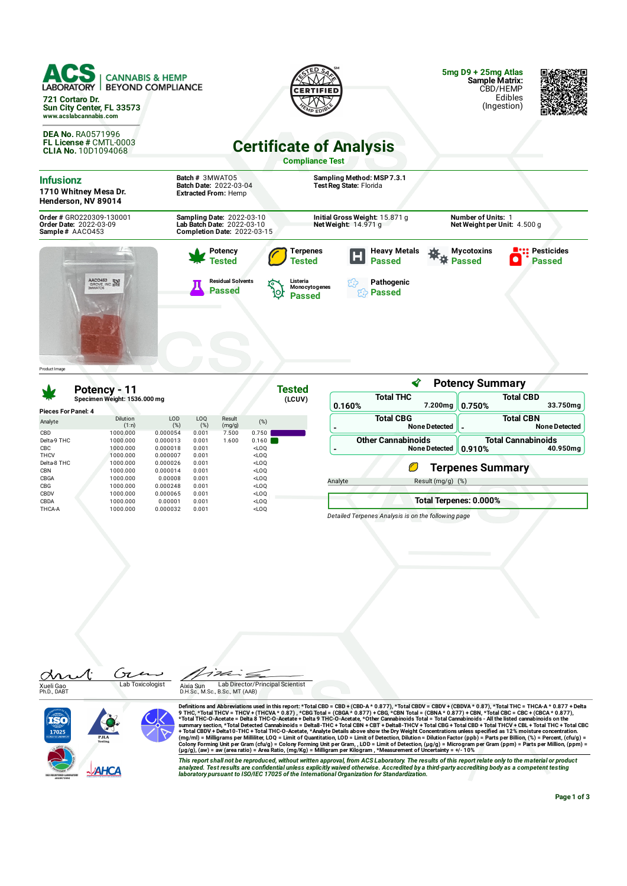| <b>ACS</b><br><b>CANNABIS &amp; HEMP</b><br>LABORATORY  <br><b>BEYOND COMPLIANCE</b><br>721 Cortaro Dr.<br>Sun City Center, FL 33573<br>www.acslabcannabis.com |                                                                                               |                                                                                                                                                                   | $5mgD + 25mgA$<br><b>Sample Matrix:</b><br>CBD/HEMP<br>Edibles<br>(Ingestion) |  |  |  |  |  |
|----------------------------------------------------------------------------------------------------------------------------------------------------------------|-----------------------------------------------------------------------------------------------|-------------------------------------------------------------------------------------------------------------------------------------------------------------------|-------------------------------------------------------------------------------|--|--|--|--|--|
| <b>DEA No. RA0571996</b><br><b>FL License # CMTL-0003</b><br><b>CLIA No. 10D1094068</b>                                                                        |                                                                                               | <b>Certificate of Analysis</b><br><b>Compliance Test</b>                                                                                                          |                                                                               |  |  |  |  |  |
| <b>Infusionz</b><br>1710 Whitney Mesa Dr.<br>Henderson, NV 89014                                                                                               | Batch # 3MWAT05<br>Batch Date: 2022-03-04<br><b>Extracted From: Hemp</b>                      | Sampling Method: MSP 7.3.1<br>Test Reg State: Florida                                                                                                             |                                                                               |  |  |  |  |  |
| Order # GR0220309-130001<br>Order Date: 2022-03-09<br>Sample# AACO453                                                                                          | Sampling Date: 2022-03-10<br>Lab Batch Date: 2022-03-10<br><b>Completion Date: 2022-03-15</b> | Initial Gross Weight: 15.871 g<br>Net Weight: 14.971 g                                                                                                            | <b>Number of Units: 1</b><br>Net Weight per Unit: 4.500 g                     |  |  |  |  |  |
| AACO453 SN                                                                                                                                                     | Potency<br>Tested<br><b>Residual Solvents</b><br><b>Passed</b><br>Ю                           | <b>Heavy Metals</b><br><b>Terpenes</b><br>Œ<br><b>Passed</b><br><b>Tested</b><br>Listeria<br>Pathogenic<br>Monocytogenes<br><b>Passed</b><br><.۶<br><b>Passed</b> | <b>Pesticides</b><br><b>Mycotoxins</b><br><b>Passed</b><br><b>Passed</b>      |  |  |  |  |  |
| Product I mage                                                                                                                                                 |                                                                                               |                                                                                                                                                                   |                                                                               |  |  |  |  |  |

**Potency Summary** ∢ **Tested Potency - 11 Specimen Weight: 1536.000 mg Total THC Total CBD (LCUV) 0.160% 7.200mg 0.750% 33.750mg Pieces For Panel: 4** Result **Total CBG Total CBN** Analyte LOD (%) CBD 1000.000 0.000054 0.001 7.500 0.750 Dilution (1:n) LOQ (%) (%) (mg/g) **- NoneDetected - NoneDetected** Delta-9 THC 1000.000 0.000013 0.001 1.600 0.160 **Other Cannabinoids Total Cannabinoids - NoneDetected** CBC 1000.000 0.000018 0.001 <LOQ **0.910% 40.950mg** THCV 1000.000 0.000007 0.001 <LOQ<br>Delta-8 THC 1000.000 0.000026 0.001 <LOQ Delta-8 THC O **Terpenes Summary** CBN 1000.000 0.000014 0.001 <LOQ CBGA 1000.000 0.00008 0.001 <LOQ Analyte Result (mg/g) (%) CBG 1000.000 0.000248 0.001 <LOQ CBDV 1000.000 0.000065 0.001 <LOQ **Total Terpenes: 0.000%** CBDA 1000.000 0.00001 0.001 <LOQ THCA-A 1000.000 0.000032 0.001 <LOQ *Detailed Terpenes Analysis is on the following page*







Definitions and Abbreviations used in this report: \*Total CBD = CBD + (CBD-A \* 0.877) \*Total CBDV + CBDV + (CBDVA \* 0.87), \*Total THC = THCA-A \* 0.877 + Delta<br>9 THC, \*Total THC = THCA-A \* 0.877 + Delta CBD = CBD + (CBD-A

This report shall not be reproduced, without written approval, from ACS Laboratory. The results of this report relate only to the material or product<br>analyzed. Test results are confidential unless explicitly waived otherwi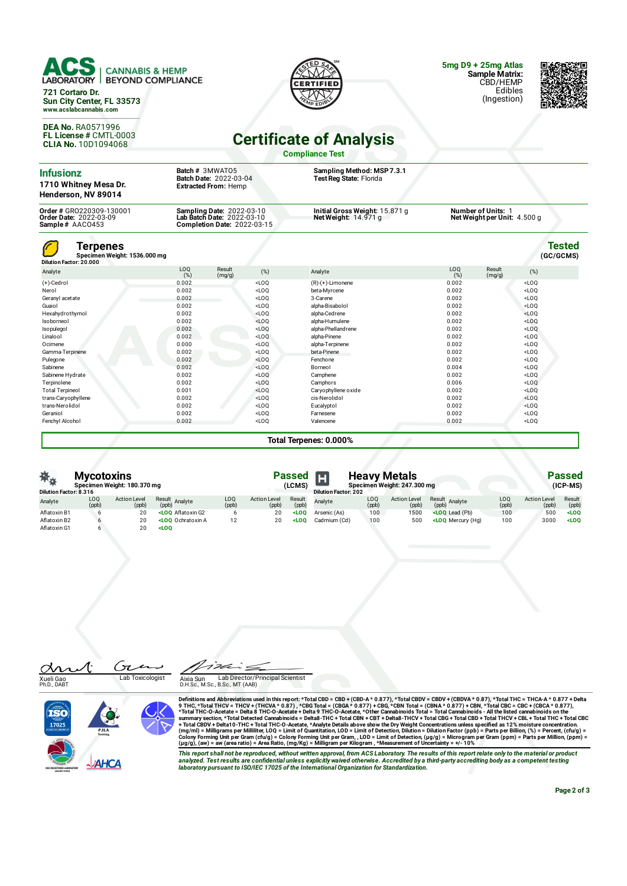

**721 Cortaro Dr. Sun City Center, FL 33573 www.acslabcannabis.com**

**DEA No.** RA0571996 **FL License #** CMTL-0003 **CLIA No.** 10D1094068

**DTIFIE** 

**5mg D9 + 25mg Atlas Sample Matrix:** CBD/HEMP Edibles

(Ingestion)

## **Certificate of Analysis**

**Compliance Test**

| <b>Infusionz</b><br>1710 Whitney Mesa Dr.<br>Henderson, NV 89014      |                        | Batch # 3MWAT05<br>Batch Date: 2022-03-04<br><b>Extracted From: Hemp</b>                      |         | Sampling Method: MSP 7.3.1<br>Test Reg State: Florida  |                                                    |                  |         |                            |  |
|-----------------------------------------------------------------------|------------------------|-----------------------------------------------------------------------------------------------|---------|--------------------------------------------------------|----------------------------------------------------|------------------|---------|----------------------------|--|
| Order # GR0220309-130001<br>Order Date: 2022-03-09<br>Sample# AACO453 |                        | Sampling Date: 2022-03-10<br>Lab Batch Date: 2022-03-10<br><b>Completion Date: 2022-03-15</b> |         | Initial Gross Weight: 15.871 g<br>Net Weight: 14.971 g | Number of Units: 1<br>Net Weight per Unit: 4.500 g |                  |         |                            |  |
| Terpenes<br>Specimen Weight: 1536.000 mg<br>Dilution Factor: 20.000   |                        |                                                                                               |         |                                                        |                                                    |                  |         | <b>Tested</b><br>(GC/GCMS) |  |
| Analyte                                                               | LO <sub>0</sub><br>(%) | Result<br>(mg/g)                                                                              | (%)     | Analyte                                                | LOQ<br>(%)                                         | Result<br>(mg/g) | (%)     |                            |  |
| $(+)$ -Cedrol                                                         | 0.002                  |                                                                                               | $<$ LOO | $(R)-(+)$ -Limonene                                    | 0.002                                              |                  | $<$ LOO |                            |  |
| Nerol                                                                 | 0.002                  |                                                                                               | $<$ LOO | beta-Myrcene                                           | 0.002                                              |                  | $<$ LOQ |                            |  |
| Geranyl acetate                                                       | 0.002                  |                                                                                               | $<$ LOQ | 3-Carene                                               | 0.002                                              |                  | $<$ LOQ |                            |  |
| Guaiol                                                                | 0.002                  |                                                                                               | $<$ LOO | alpha-Bisabolol                                        | 0.002                                              |                  | $<$ LOO |                            |  |
| Hexahydrothymol                                                       | 0.002                  |                                                                                               | $<$ LOQ | alpha-Cedrene                                          | 0.002                                              |                  | $<$ LOQ |                            |  |
| Isoborneol                                                            | 0.002                  |                                                                                               | $<$ LOO | alpha-Humulene                                         | 0.002                                              |                  | $<$ LOQ |                            |  |
| Isopulegol                                                            | 0.002                  |                                                                                               | $<$ LOQ | alpha-Phellandrene                                     | 0.002                                              |                  | $<$ LOQ |                            |  |
| Linalool                                                              | 0.002                  |                                                                                               | $<$ LOO | alpha-Pinene                                           | 0.002                                              |                  | $<$ LOO |                            |  |
| Ocimene                                                               | 0.000                  |                                                                                               | $<$ LOQ | alpha-Terpinene                                        | 0.002                                              |                  | $<$ LOQ |                            |  |
| Gamma-Terpinene                                                       | 0.002                  |                                                                                               | $<$ LOO | beta-Pinene                                            | 0.002                                              |                  | $<$ LOQ |                            |  |
| Pulegone                                                              | 0.002                  |                                                                                               | $<$ LOQ | Fenchone                                               | 0.002                                              |                  | $<$ LOQ |                            |  |
| Sabinene                                                              | 0.002                  |                                                                                               | $<$ LOO | Borneol                                                | 0.004                                              |                  | $<$ LOQ |                            |  |
| Sabinene Hydrate                                                      | 0.002                  |                                                                                               | $<$ LOQ | Camphene                                               | 0.002                                              |                  | $<$ LOQ |                            |  |
| Terpinolene                                                           | 0.002                  |                                                                                               | $<$ LOQ | Camphors                                               | 0.006                                              |                  | $<$ LOQ |                            |  |
| <b>Total Terpineol</b>                                                | 0.001                  |                                                                                               | $<$ LOO | Caryophyllene oxide                                    | 0.002                                              |                  | $<$ LOQ |                            |  |
| trans-Caryophyllene                                                   | 0.002                  |                                                                                               | $<$ LOQ | cis-Nerolidol                                          | 0.002                                              |                  | $<$ LOQ |                            |  |
| trans-Nerolidol                                                       | 0.002                  |                                                                                               | $<$ LOQ | Eucalyptol                                             | 0.002                                              |                  | $<$ LOQ |                            |  |
| Geraniol                                                              | 0.002                  |                                                                                               | $<$ LOQ | Farnesene                                              | 0.002                                              |                  | $<$ LOQ |                            |  |
| Fenchyl Alcohol                                                       | 0.002                  |                                                                                               | $<$ LOQ | Valencene                                              | 0.002                                              |                  | $<$ LOQ |                            |  |

**Total Terpenes: 0.000%**

| 茶水<br><b>Mycotoxins</b><br>Specimen Weight: 180.370 mg<br><b>Dilution Factor: 8.316</b> |              |                              |                                                                                                                                                                                                                                         |              |                              | <b>Heavy Metals</b><br>Passed<br>Specimen Weight: 247.300 mg<br>(LCMS)<br><b>Dilution Factor: 202</b> |              |              |                              |                                                                                             | <b>Passed</b><br>(ICP-MS) |                              |                     |  |  |  |
|-----------------------------------------------------------------------------------------|--------------|------------------------------|-----------------------------------------------------------------------------------------------------------------------------------------------------------------------------------------------------------------------------------------|--------------|------------------------------|-------------------------------------------------------------------------------------------------------|--------------|--------------|------------------------------|---------------------------------------------------------------------------------------------|---------------------------|------------------------------|---------------------|--|--|--|
| Analyte                                                                                 | LOQ<br>(ppb) | <b>Action Level</b><br>(ppb) | Result Analyte<br>(ppb)                                                                                                                                                                                                                 | LOQ<br>(ppb) | <b>Action Level</b><br>(ppb) | Result<br>(ppb)                                                                                       | Analyte      | LOQ<br>(ppb) | <b>Action Level</b><br>(ppb) | Result Analyte<br>(ppb)                                                                     | LOQ<br>(ppb)              | <b>Action Level</b><br>(ppb) | Result<br>(ppb)     |  |  |  |
| Aflatoxin B1                                                                            | h            | 20                           | <loo aflatoxin="" g2<="" td=""><td></td><td>20</td><td><math>&lt;</math>LOO</td><td>Arsenic (As)</td><td>100</td><td>1500</td><td><loq (pb)<="" lead="" td=""><td>100</td><td>500</td><td><loo< td=""></loo<></td></loq></td></loo>     |              | 20                           | $<$ LOO                                                                                               | Arsenic (As) | 100          | 1500                         | <loq (pb)<="" lead="" td=""><td>100</td><td>500</td><td><loo< td=""></loo<></td></loq>      | 100                       | 500                          | <loo< td=""></loo<> |  |  |  |
| Aflatoxin B2                                                                            |              | 20                           | <loo a<="" ochratoxin="" td=""><td></td><td>20</td><td><math>&lt;</math>LOO</td><td>Cadmium (Cd)</td><td>100</td><td>500</td><td><loo (ha)<="" mercury="" td=""><td>100</td><td>3000</td><td><math>&lt;</math>LOO</td></loo></td></loo> |              | 20                           | $<$ LOO                                                                                               | Cadmium (Cd) | 100          | 500                          | <loo (ha)<="" mercury="" td=""><td>100</td><td>3000</td><td><math>&lt;</math>LOO</td></loo> | 100                       | 3000                         | $<$ LOO             |  |  |  |
| Aflatoxin G1                                                                            |              | 20                           | $<$ LOO                                                                                                                                                                                                                                 |              |                              |                                                                                                       |              |              |                              |                                                                                             |                           |                              |                     |  |  |  |

⁄[: an Xueli Gao<br>Ph.D., DABT

Ź. Lab Toxicologist Lab Director/Principal Scientist Aixia Sun<br>D.H.Sc., M.Sc., B.Sc., MT (AAB)



Ćτ

Definitions and Abbreviations used in this report: \*Total CBD = CBD + (CBD-A \* 0.877), \*Total THCA \* 0.87), \*Total THC-B THCA + 0.877 + CBD + (CBDA \* 0.877), \*Total THCA + 0.877), \*Total THCA + 0.977 + CBD + (THCAA \* 0.87

This report shall not be reproduced, without written approval, from ACS Laboratory. The results of this report relate only to the material or product<br>analyzed. Test results are confidential unless explicitly waived otherwi